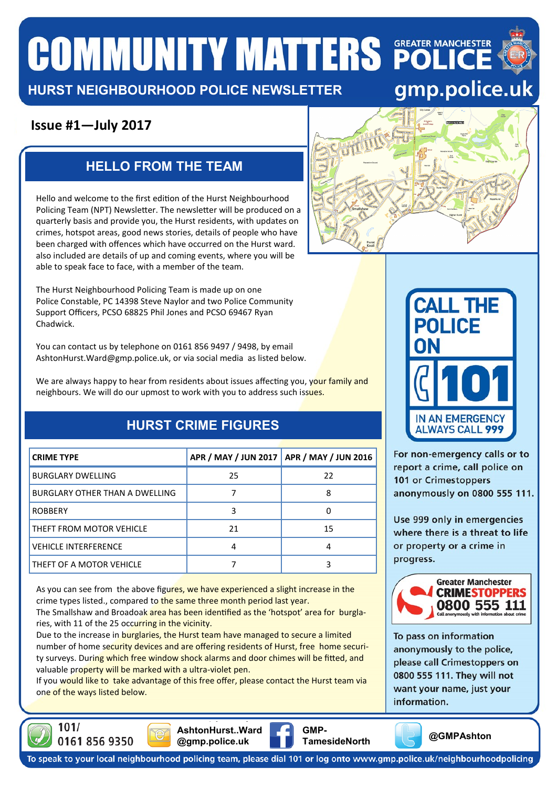# **COMMUNITY MATTERS POLICE**

#### **HURST NEIGHBOURHOOD POLICE NEWSLETTER**

#### **Issue #1—July 2017**

#### **HELLO FROM THE TEAM**

Hello and welcome to the first edition of the Hurst Neighbourhood Policing Team (NPT) Newsletter. The newsletter will be produced on a quarterly basis and provide you, the Hurst residents, with updates on crimes, hotspot areas, good news stories, details of people who have been charged with offences which have occurred on the Hurst ward. also included are details of up and coming events, where you will be able to speak face to face, with a member of the team.

The Hurst Neighbourhood Policing Team is made up on one Police Constable, PC 14398 Steve Naylor and two Police Community Support Officers, PCSO 68825 Phil Jones and PCSO 69467 Ryan Chadwick.

You can contact us by telephone on 0161 856 9497 / 9498, by email AshtonHurst.Ward@gmp.police.uk, or via social media as listed below.

We are always happy to hear from residents about issues affecting you, your family and neighbours. We will do our upmost to work with you to address such issues.

### **HURST CRIME FIGURES**

| <b>CRIME TYPE</b>                     |    | APR / MAY / JUN 2017   APR / MAY / JUN 2016 |
|---------------------------------------|----|---------------------------------------------|
| <b>BURGLARY DWELLING</b>              | 25 | 22                                          |
| <b>BURGLARY OTHER THAN A DWELLING</b> |    | 8                                           |
| <b>ROBBERY</b>                        |    |                                             |
| <b>THEFT FROM MOTOR VEHICLE</b>       | 21 | 15                                          |
| <b>VEHICLE INTERFERENCE</b>           | 4  | 4                                           |
| <b>THEFT OF A MOTOR VEHICLE</b>       |    |                                             |

As you can see from the above figures, we have experienced a slight increase in the crime types listed., compared to the same three month period last year.

The Smallshaw and Broadoak area has been identified as the 'hotspot' area for burglaries, with 11 of the 25 occurring in the vicinity.

Due to the increase in burglaries, the Hurst team have managed to secure a limited number of home security devices and are offering residents of Hurst, free home security surveys. During which free window shock alarms and door chimes will be fitted, and valuable property will be marked with a ultra-violet pen.

If you would like to take advantage of this free offer, please contact the Hurst team via one of the ways listed below.





**North Compassion Compassion AshtonHurst..Ward GMP-**<br>161 856 9350 **Compassion Compassion Compassion Compassion Compassion Compassion Ashtonhurst.ward AshtonHurst..Ward @gmp.police.uk @gmp.police.uk**











For non-emergency calls or to report a crime, call police on 101 or Crimestoppers anonymously on 0800 555 111.

Use 999 only in emergencies where there is a threat to life or property or a crime in progress.



To pass on information anonymously to the police, please call Crimestoppers on 0800 555 111. They will not want your name, just your information.

To speak to your local neighbourhood policing team, please dial 101 or log onto www.gmp.police.uk/neighbourhoodpolicing